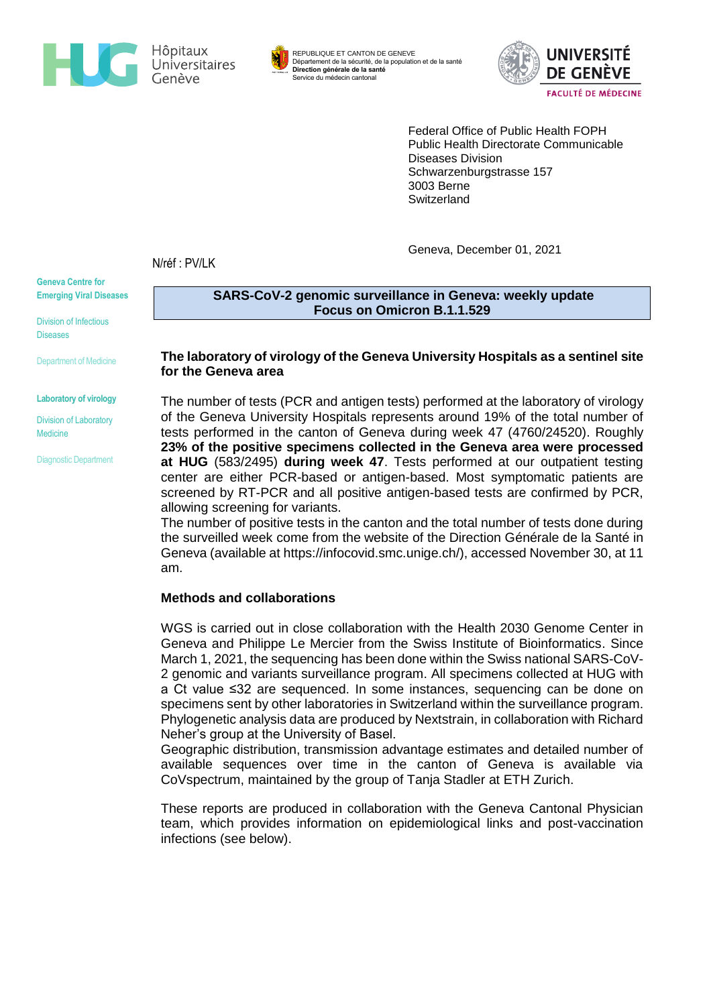

REPUBLIQUE ET CANTON DE GENEVE Département de la sécurité, de la population et de la santé **Direction générale de la santé** Service du médecin cantonal



Federal Office of Public Health FOPH Public Health Directorate Communicable Diseases Division Schwarzenburgstrasse 157 3003 Berne **Switzerland** 

Geneva, December 01, 2021

N/réf : PV/LK

**Geneva Centre for Emerging Viral Diseases**

Division of Infectious Diseases

Department of Medicine

**Laboratory of virology**

Division of Laboratory **Medicine** 

Diagnostic Department

**SARS-CoV-2 genomic surveillance in Geneva: weekly update Focus on Omicron B.1.1.529**

### **The laboratory of virology of the Geneva University Hospitals as a sentinel site for the Geneva area**

The number of tests (PCR and antigen tests) performed at the laboratory of virology of the Geneva University Hospitals represents around 19% of the total number of tests performed in the canton of Geneva during week 47 (4760/24520). Roughly **23% of the positive specimens collected in the Geneva area were processed at HUG** (583/2495) **during week 47**. Tests performed at our outpatient testing center are either PCR-based or antigen-based. Most symptomatic patients are screened by RT-PCR and all positive antigen-based tests are confirmed by PCR, allowing screening for variants.

The number of positive tests in the canton and the total number of tests done during the surveilled week come from the website of the Direction Générale de la Santé in Geneva (available at [https://infocovid.smc.unige.ch/\)](https://infocovid.smc.unige.ch/), accessed November 30, at 11 am.

### **Methods and collaborations**

WGS is carried out in close collaboration with the Health 2030 Genome Center in Geneva and Philippe Le Mercier from the Swiss Institute of Bioinformatics. Since March 1, 2021, the sequencing has been done within the Swiss national SARS-CoV-2 genomic and variants surveillance program. All specimens collected at HUG with a Ct value ≤32 are sequenced. In some instances, sequencing can be done on specimens sent by other laboratories in Switzerland within the surveillance program. Phylogenetic analysis data are produced by Nextstrain, in collaboration with Richard Neher's group at the University of Basel.

Geographic distribution, transmission advantage estimates and detailed number of available sequences over time in the canton of Geneva is available via CoVspectrum, maintained by the group of Tanja Stadler at ETH Zurich.

These reports are produced in collaboration with the Geneva Cantonal Physician team, which provides information on epidemiological links and post-vaccination infections (see below).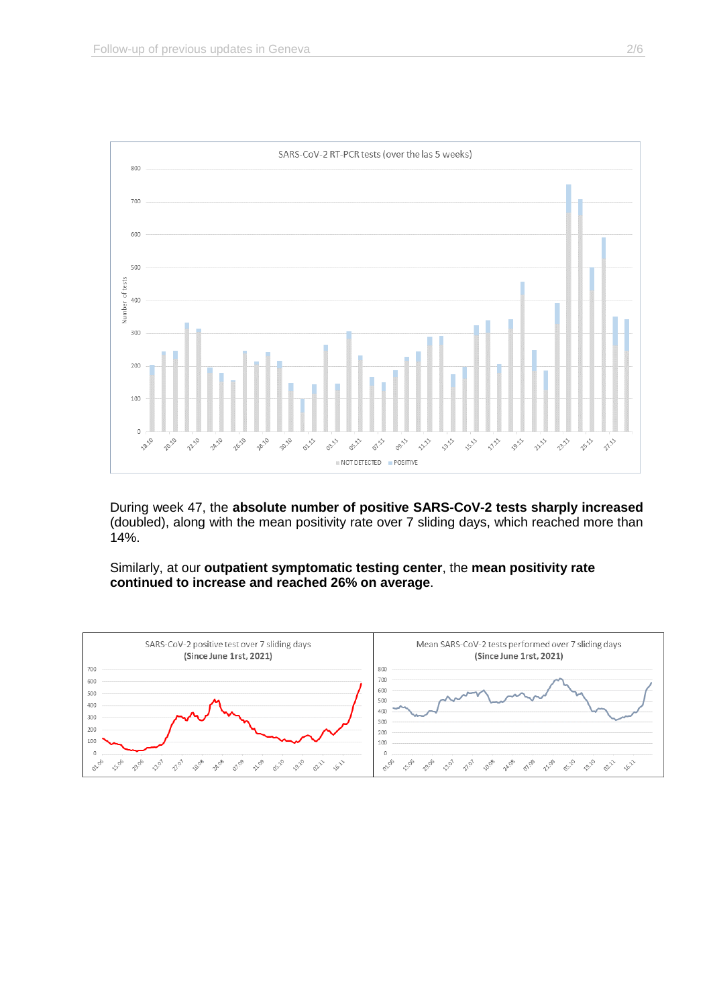

During week 47, the **absolute number of positive SARS-CoV-2 tests sharply increased** (doubled), along with the mean positivity rate over 7 sliding days, which reached more than 14%.

Similarly, at our **outpatient symptomatic testing center**, the **mean positivity rate continued to increase and reached 26% on average**.

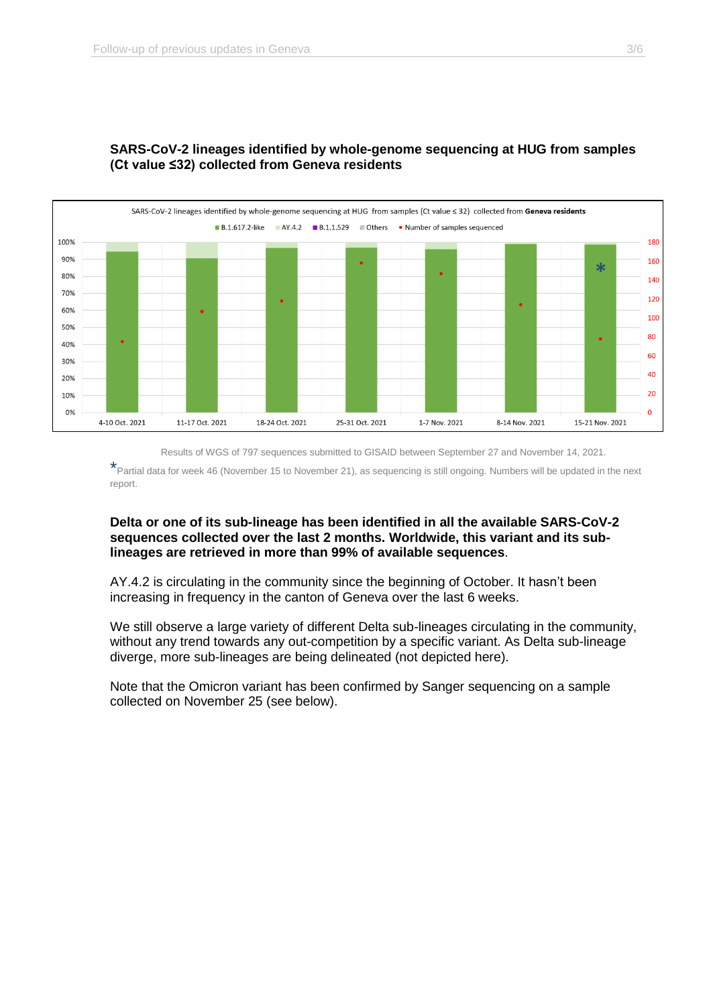

# **SARS-CoV-2 lineages identified by whole-genome sequencing at HUG from samples (Ct value ≤32) collected from Geneva residents**

Results of WGS of 797 sequences submitted to GISAID between September 27 and November 14, 2021.

\*Partial data for week 46 (November 15 to November 21), as sequencing is still ongoing. Numbers will be updated in the next report.

## **Delta or one of its sub-lineage has been identified in all the available SARS-CoV-2 sequences collected over the last 2 months. Worldwide, this variant and its sublineages are retrieved in more than 99% of available sequences**.

AY.4.2 is circulating in the community since the beginning of October. It hasn't been increasing in frequency in the canton of Geneva over the last 6 weeks.

We still observe a large variety of different Delta sub-lineages circulating in the community, without any trend towards any out-competition by a specific variant. As Delta sub-lineage diverge, more sub-lineages are being delineated (not depicted here).

Note that the Omicron variant has been confirmed by Sanger sequencing on a sample collected on November 25 (see below).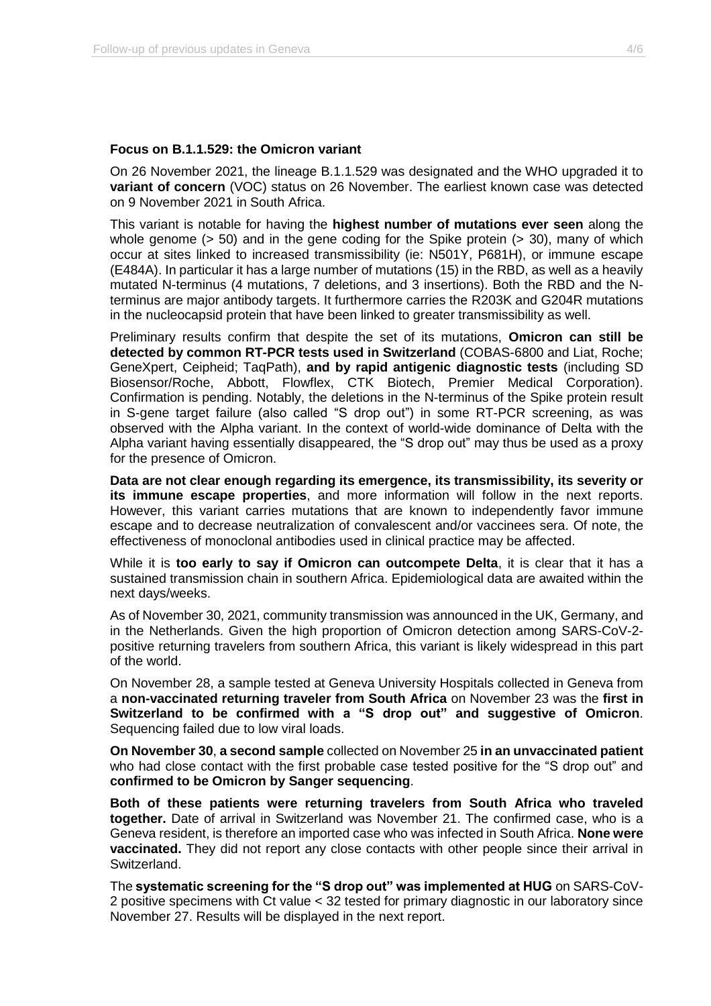### **Focus on B.1.1.529: the Omicron variant**

On 26 November 2021, the lineage B.1.1.529 was designated and the WHO upgraded it to **variant of concern** (VOC) status on 26 November. The earliest known case was detected on 9 November 2021 in South Africa.

This variant is notable for having the **highest number of mutations ever seen** along the whole genome ( $> 50$ ) and in the gene coding for the Spike protein ( $> 30$ ), many of which occur at sites linked to increased transmissibility (ie: N501Y, P681H), or immune escape (E484A). In particular it has a large number of mutations (15) in the RBD, as well as a heavily mutated N-terminus (4 mutations, 7 deletions, and 3 insertions). Both the RBD and the Nterminus are major antibody targets. It furthermore carries the R203K and G204R mutations in the nucleocapsid protein that have been linked to greater transmissibility as well.

Preliminary results confirm that despite the set of its mutations, **Omicron can still be detected by common RT-PCR tests used in Switzerland** (COBAS-6800 and Liat, Roche; GeneXpert, Ceipheid; TaqPath), **and by rapid antigenic diagnostic tests** (including SD Biosensor/Roche, Abbott, Flowflex, CTK Biotech, Premier Medical Corporation). Confirmation is pending. Notably, the deletions in the N-terminus of the Spike protein result in S-gene target failure (also called "S drop out") in some RT-PCR screening, as was observed with the Alpha variant. In the context of world-wide dominance of Delta with the Alpha variant having essentially disappeared, the "S drop out" may thus be used as a proxy for the presence of Omicron.

**Data are not clear enough regarding its emergence, its transmissibility, its severity or its immune escape properties**, and more information will follow in the next reports. However, this variant carries mutations that are known to independently favor immune escape and to decrease neutralization of convalescent and/or vaccinees sera. Of note, the effectiveness of monoclonal antibodies used in clinical practice may be affected.

While it is **too early to say if Omicron can outcompete Delta**, it is clear that it has a sustained transmission chain in southern Africa. Epidemiological data are awaited within the next days/weeks.

As of November 30, 2021, community transmission was announced in the UK, Germany, and in the Netherlands. Given the high proportion of Omicron detection among SARS-CoV-2 positive returning travelers from southern Africa, this variant is likely widespread in this part of the world.

On November 28, a sample tested at Geneva University Hospitals collected in Geneva from a **non-vaccinated returning traveler from South Africa** on November 23 was the **first in Switzerland to be confirmed with a "S drop out" and suggestive of Omicron**. Sequencing failed due to low viral loads.

**On November 30**, **a second sample** collected on November 25 **in an unvaccinated patient** who had close contact with the first probable case tested positive for the "S drop out" and **confirmed to be Omicron by Sanger sequencing**.

**Both of these patients were returning travelers from South Africa who traveled together.** Date of arrival in Switzerland was November 21. The confirmed case, who is a Geneva resident, is therefore an imported case who was infected in South Africa. **None were vaccinated.** They did not report any close contacts with other people since their arrival in Switzerland.

The **systematic screening for the "S drop out" was implemented at HUG** on SARS-CoV-2 positive specimens with Ct value < 32 tested for primary diagnostic in our laboratory since November 27. Results will be displayed in the next report.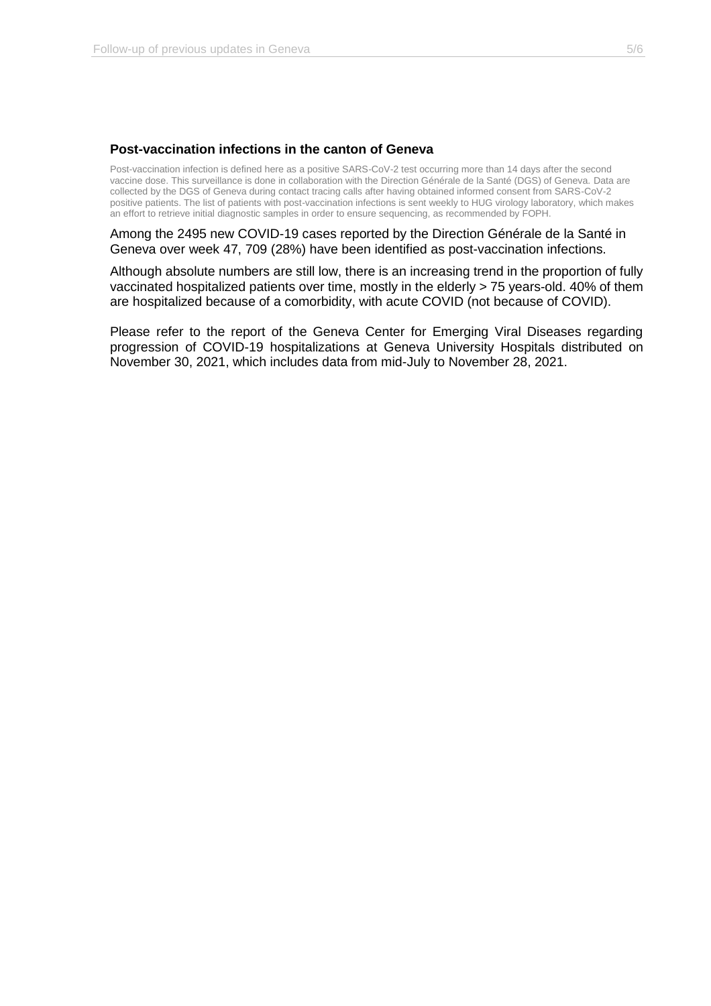### **Post-vaccination infections in the canton of Geneva**

Post-vaccination infection is defined here as a positive SARS-CoV-2 test occurring more than 14 days after the second vaccine dose. This surveillance is done in collaboration with the Direction Générale de la Santé (DGS) of Geneva. Data are collected by the DGS of Geneva during contact tracing calls after having obtained informed consent from SARS-CoV-2 positive patients. The list of patients with post-vaccination infections is sent weekly to HUG virology laboratory, which makes an effort to retrieve initial diagnostic samples in order to ensure sequencing, as recommended by FOPH.

Among the 2495 new COVID-19 cases reported by the Direction Générale de la Santé in Geneva over week 47, 709 (28%) have been identified as post-vaccination infections.

Although absolute numbers are still low, there is an increasing trend in the proportion of fully vaccinated hospitalized patients over time, mostly in the elderly > 75 years-old. 40% of them are hospitalized because of a comorbidity, with acute COVID (not because of COVID).

Please refer to the report of the Geneva Center for Emerging Viral Diseases regarding progression of COVID-19 hospitalizations at Geneva University Hospitals distributed on November 30, 2021, which includes data from mid-July to November 28, 2021.